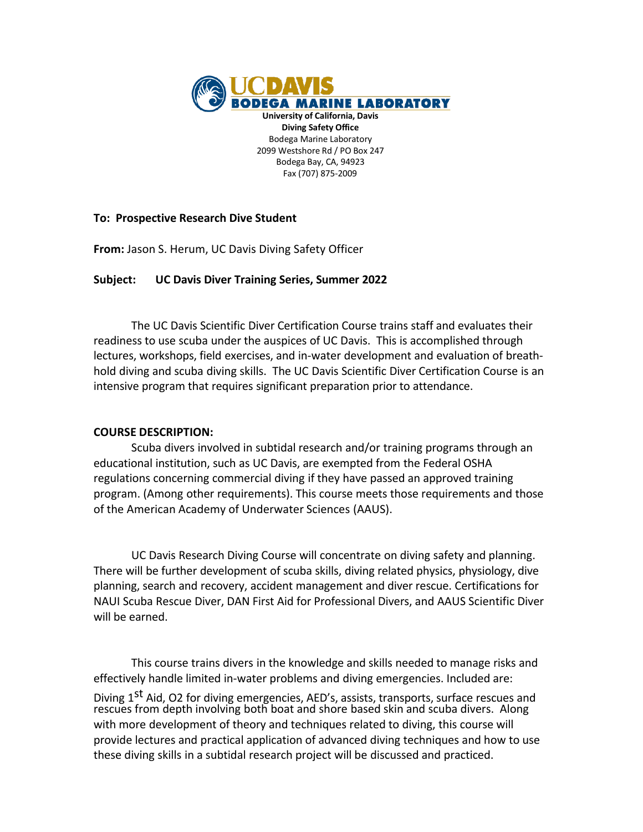

### **To: Prospective Research Dive Student**

**From:** Jason S. Herum, UC Davis Diving Safety Officer

## **Subject: UC Davis Diver Training Series, Summer 2022**

The UC Davis Scientific Diver Certification Course trains staff and evaluates their readiness to use scuba under the auspices of UC Davis. This is accomplished through lectures, workshops, field exercises, and in-water development and evaluation of breathhold diving and scuba diving skills. The UC Davis Scientific Diver Certification Course is an intensive program that requires significant preparation prior to attendance.

#### **COURSE DESCRIPTION:**

Scuba divers involved in subtidal research and/or training programs through an educational institution, such as UC Davis, are exempted from the Federal OSHA regulations concerning commercial diving if they have passed an approved training program. (Among other requirements). This course meets those requirements and those of the American Academy of Underwater Sciences (AAUS).

UC Davis Research Diving Course will concentrate on diving safety and planning. There will be further development of scuba skills, diving related physics, physiology, dive planning, search and recovery, accident management and diver rescue. Certifications for NAUI Scuba Rescue Diver, DAN First Aid for Professional Divers, and AAUS Scientific Diver will be earned.

This course trains divers in the knowledge and skills needed to manage risks and effectively handle limited in-water problems and diving emergencies. Included are: Diving 1<sup>st</sup> Aid, O2 for diving emergencies, AED's, assists, transports, surface rescues and rescues from depth involving both boat and shore based skin and scuba divers. Along with more development of theory and techniques related to diving, this course will provide lectures and practical application of advanced diving techniques and how to use these diving skills in a subtidal research project will be discussed and practiced.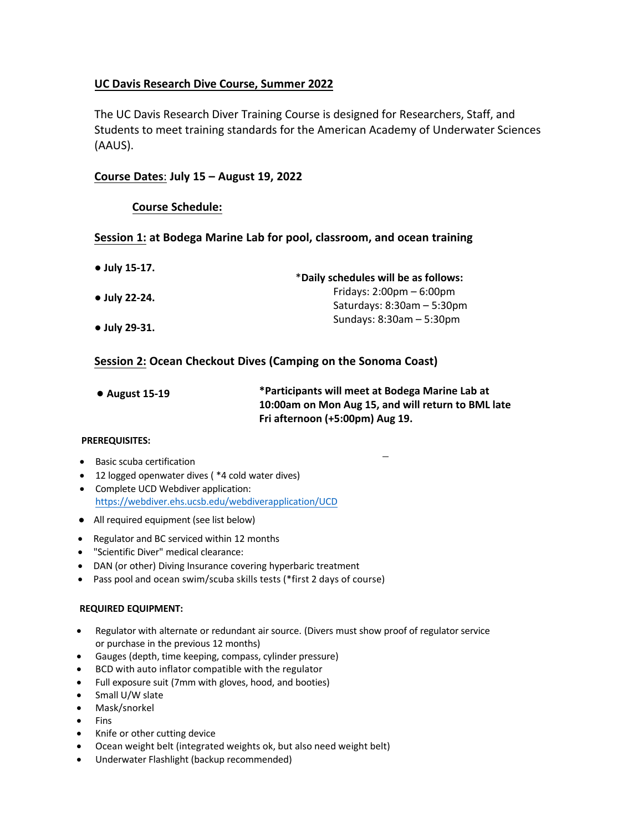## **UC Davis Research Dive Course, Summer 2022**

The UC Davis Research Diver Training Course is designed for Researchers, Staff, and Students to meet training standards for the American Academy of Underwater Sciences (AAUS).

### **Course Dates**: **July 15 – August 19, 2022**

### **Course Schedule:**

### **Session 1: at Bodega Marine Lab for pool, classroom, and ocean training**

| • July 15-17.         | *Daily schedules will be as follows:       |
|-----------------------|--------------------------------------------|
| $\bullet$ July 22-24. | Fridays: $2:00 \text{pm} - 6:00 \text{pm}$ |
|                       | Saturdays: $8:30$ am $-5:30$ pm            |
| $\bullet$ July 29-31. | Sundays: $8:30am - 5:30pm$                 |

## **Session 2: Ocean Checkout Dives (Camping on the Sonoma Coast)**

| $\bullet$ August 15-19 | *Participants will meet at Bodega Marine Lab at    |
|------------------------|----------------------------------------------------|
|                        | 10:00am on Mon Aug 15, and will return to BML late |
|                        | Fri afternoon (+5:00pm) Aug 19.                    |

#### **PREREQUISITES:**

- Basic scuba certification
- 12 logged openwater dives ( \*4 cold water dives)
- Complete UCD Webdiver application: https://webdiver.ehs.ucsb.edu/webdiverapplication/UCD
- All required equipment (see list below)
- Regulator and BC serviced within 12 months
- "Scientific Diver" medical clearance:
- DAN (or other) Diving Insurance covering hyperbaric treatment
- Pass pool and ocean swim/scuba skills tests (\*first 2 days of course)

#### **REQUIRED EQUIPMENT:**

- Regulator with alternate or redundant air source. (Divers must show proof of regulator service or purchase in the previous 12 months)
- Gauges (depth, time keeping, compass, cylinder pressure)
- BCD with auto inflator compatible with the regulator
- Full exposure suit (7mm with gloves, hood, and booties)
- Small U/W slate
- Mask/snorkel
- Fins
- Knife or other cutting device
- Ocean weight belt (integrated [weights ok, but also need weight belt\)](https://webdiver.ehs.ucsb.edu/webdiverapplication/UCD)
- Underwater Flashlight (backup recommended)